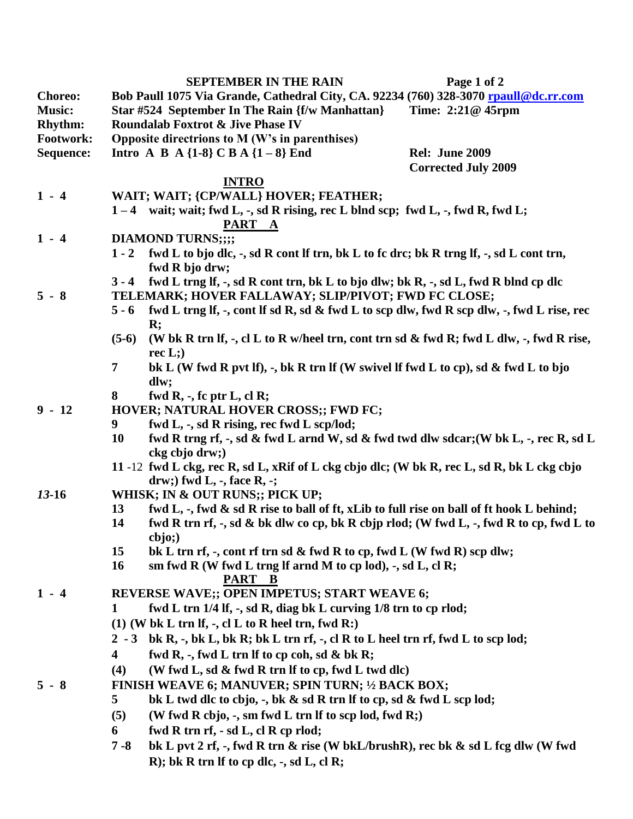|                |                                                                                                           | <b>SEPTEMBER IN THE RAIN</b>                                                                      | Page 1 of 2                |  |
|----------------|-----------------------------------------------------------------------------------------------------------|---------------------------------------------------------------------------------------------------|----------------------------|--|
| <b>Choreo:</b> |                                                                                                           | Bob Paull 1075 Via Grande, Cathedral City, CA. 92234 (760) 328-3070 rpaull@dc.rr.com              |                            |  |
| <b>Music:</b>  |                                                                                                           | Star #524 September In The Rain {f/w Manhattan}                                                   | Time: 2:21@ 45rpm          |  |
| <b>Rhythm:</b> | <b>Roundalab Foxtrot &amp; Jive Phase IV</b>                                                              |                                                                                                   |                            |  |
| Footwork:      | Opposite directrions to M (W's in parenthises)                                                            |                                                                                                   |                            |  |
| Sequence:      |                                                                                                           | <b>Intro A B A {1-8} C B A {1 - 8} End</b>                                                        | <b>Rel: June 2009</b>      |  |
|                |                                                                                                           |                                                                                                   | <b>Corrected July 2009</b> |  |
|                | <b>INTRO</b>                                                                                              |                                                                                                   |                            |  |
| $1 - 4$        |                                                                                                           | WAIT; WAIT; {CP/WALL} HOVER; FEATHER;                                                             |                            |  |
|                |                                                                                                           | $1-4$ wait; wait; fwd L, -, sd R rising, rec L blnd scp; fwd L, -, fwd R, fwd L;                  |                            |  |
|                |                                                                                                           | PART A                                                                                            |                            |  |
| $1 - 4$        |                                                                                                           | <b>DIAMOND TURNS;;;;</b>                                                                          |                            |  |
|                | $1 - 2$                                                                                                   | fwd L to bjo dlc, -, sd R cont lf trn, bk L to fc drc; bk R trng lf, -, sd L cont trn,            |                            |  |
|                |                                                                                                           | fwd R bjo drw;                                                                                    |                            |  |
|                | $3 - 4$                                                                                                   | fwd L trng lf, -, sd R cont trn, bk L to bjo dlw; bk R, -, sd L, fwd R blnd cp dlc                |                            |  |
| $5 - 8$        | TELEMARK; HOVER FALLAWAY; SLIP/PIVOT; FWD FC CLOSE;                                                       |                                                                                                   |                            |  |
|                | $5 - 6$                                                                                                   | fwd L trng If, -, cont If sd R, sd & fwd L to scp dlw, fwd R scp dlw, -, fwd L rise, rec          |                            |  |
|                | $\mathbf{R}$ ;<br>(W bk R trn If, -, cl L to R w/heel trn, cont trn sd & fwd R; fwd L dlw, -, fwd R rise, |                                                                                                   |                            |  |
|                | $(5-6)$                                                                                                   |                                                                                                   |                            |  |
|                | 7                                                                                                         | rec $L$ ;)                                                                                        |                            |  |
|                |                                                                                                           | bk L (W fwd R pvt If), $\cdot$ , bk R trn If (W swivel If fwd L to cp), sd & fwd L to bjo<br>dlw; |                            |  |
|                | 8                                                                                                         | fwd R, $-$ , fc ptr L, cl R;                                                                      |                            |  |
| $9 - 12$       | HOVER; NATURAL HOVER CROSS;; FWD FC;                                                                      |                                                                                                   |                            |  |
|                | fwd L, -, sd R rising, rec fwd L scp/lod;<br>9                                                            |                                                                                                   |                            |  |
|                | 10<br>fwd R trng rf, -, sd & fwd L arnd W, sd & fwd twd dlw sdcar; (W bk L, -, rec R, sd L                |                                                                                                   |                            |  |
|                | ckg cbjo drw;)                                                                                            |                                                                                                   |                            |  |
|                |                                                                                                           | 11-12 fwd L ckg, rec R, sd L, xRif of L ckg cbjo dlc; (W bk R, rec L, sd R, bk L ckg cbjo         |                            |  |
|                |                                                                                                           | $drw$ ; fwd L, -, face R, -;                                                                      |                            |  |
| $13-16$        | WHISK; IN & OUT RUNS;; PICK UP;                                                                           |                                                                                                   |                            |  |
|                | 13                                                                                                        | fwd L, -, fwd & sd R rise to ball of ft, xLib to full rise on ball of ft hook L behind;           |                            |  |
|                | 14                                                                                                        | fwd R trn rf, -, sd & bk dlw co cp, bk R cbjp rlod; (W fwd L, -, fwd R to cp, fwd L to            |                            |  |
|                |                                                                                                           | cbjo;                                                                                             |                            |  |
|                | 15                                                                                                        | bk L trn rf, -, cont rf trn sd & fwd R to cp, fwd L (W fwd R) scp dlw;                            |                            |  |
|                | <b>16</b>                                                                                                 | sm fwd R (W fwd L trng lf arnd M to cp lod), $-$ , sd L, cl R;                                    |                            |  |
|                | PART B                                                                                                    |                                                                                                   |                            |  |
| $1 - 4$        |                                                                                                           | REVERSE WAVE;; OPEN IMPETUS; START WEAVE 6;                                                       |                            |  |
|                | fwd L trn 1/4 lf, -, sd R, diag bk L curving 1/8 trn to cp rlod;<br>1                                     |                                                                                                   |                            |  |
|                |                                                                                                           | $(1)$ (W bk L trn If, -, cl L to R heel trn, fwd R:)                                              |                            |  |
|                |                                                                                                           | 2 - 3 bk R, -, bk L, bk R; bk L trn rf, -, cl R to L heel trn rf, fwd L to scp lod;               |                            |  |
|                | $\overline{\mathbf{4}}$                                                                                   | fwd R, -, fwd L trn lf to cp coh, sd & bk R;                                                      |                            |  |
|                | (W fwd L, sd & fwd R trn If to cp, fwd L twd dlc)<br>(4)                                                  |                                                                                                   |                            |  |
| $5 - 8$        | FINISH WEAVE 6; MANUVER; SPIN TURN; 1/2 BACK BOX;                                                         |                                                                                                   |                            |  |
|                | 5                                                                                                         | bk L twd dlc to cbjo, -, bk & sd R trn If to cp, sd & fwd L scp lod;                              |                            |  |
|                | (5)                                                                                                       | (W fwd R cbjo, -, sm fwd L trn If to scp lod, fwd R;)                                             |                            |  |
|                | 6                                                                                                         | fwd R trn rf, - sd L, cl R cp rlod;                                                               |                            |  |
|                | $7 - 8$                                                                                                   | bk L pvt 2 rf, -, fwd R trn & rise (W bkL/brushR), rec bk & sd L fcg dlw (W fwd                   |                            |  |
|                |                                                                                                           | R); bk R trn If to cp dlc, $-$ , sd L, cl R;                                                      |                            |  |